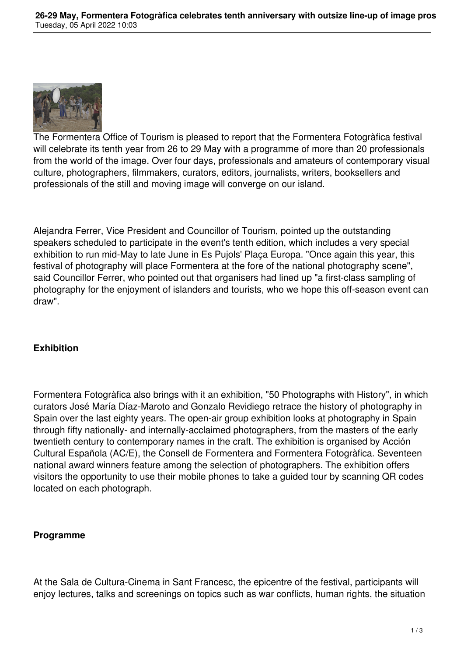

The Formentera Office of Tourism is pleased to report that the Formentera Fotogràfica festival will celebrate its tenth year from 26 to 29 May with a programme of more than 20 professionals from the world of the image. Over four days, professionals and amateurs of contemporary visual culture, photographers, filmmakers, curators, editors, journalists, writers, booksellers and professionals of the still and moving image will converge on our island.

Alejandra Ferrer, Vice President and Councillor of Tourism, pointed up the outstanding speakers scheduled to participate in the event's tenth edition, which includes a very special exhibition to run mid-May to late June in Es Pujols' Plaça Europa. "Once again this year, this festival of photography will place Formentera at the fore of the national photography scene", said Councillor Ferrer, who pointed out that organisers had lined up "a first-class sampling of photography for the enjoyment of islanders and tourists, who we hope this off-season event can draw".

## **Exhibition**

Formentera Fotogràfica also brings with it an exhibition, "50 Photographs with History", in which curators José María Díaz-Maroto and Gonzalo Revidiego retrace the history of photography in Spain over the last eighty years. The open-air group exhibition looks at photography in Spain through fifty nationally- and internally-acclaimed photographers, from the masters of the early twentieth century to contemporary names in the craft. The exhibition is organised by Acción Cultural Española (AC/E), the Consell de Formentera and Formentera Fotogràfica. Seventeen national award winners feature among the selection of photographers. The exhibition offers visitors the opportunity to use their mobile phones to take a guided tour by scanning QR codes located on each photograph.

## **Programme**

At the Sala de Cultura-Cinema in Sant Francesc, the epicentre of the festival, participants will enjoy lectures, talks and screenings on topics such as war conflicts, human rights, the situation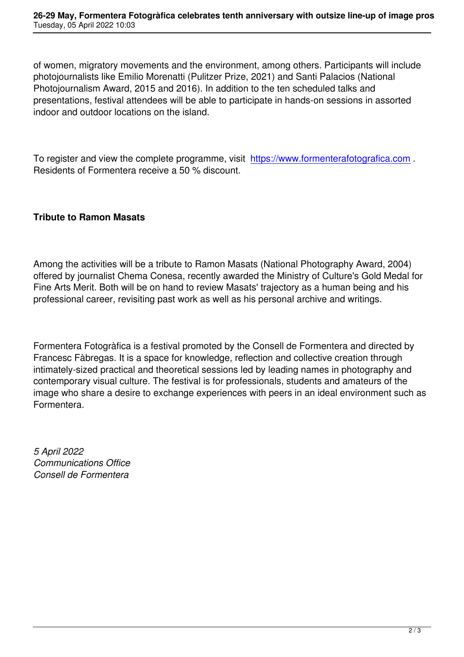of women, migratory movements and the environment, among others. Participants will include photojournalists like Emilio Morenatti (Pulitzer Prize, 2021) and Santi Palacios (National Photojournalism Award, 2015 and 2016). In addition to the ten scheduled talks and presentations, festival attendees will be able to participate in hands-on sessions in assorted indoor and outdoor locations on the island.

To register and view the complete programme, visit https://www.formenterafotografica.com. Residents of Formentera receive a 50 % discount.

## **Tribute to Ramon Masats**

Among the activities will be a tribute to Ramon Masats (National Photography Award, 2004) offered by journalist Chema Conesa, recently awarded the Ministry of Culture's Gold Medal for Fine Arts Merit. Both will be on hand to review Masats' trajectory as a human being and his professional career, revisiting past work as well as his personal archive and writings.

Formentera Fotogràfica is a festival promoted by the Consell de Formentera and directed by Francesc Fàbregas. It is a space for knowledge, reflection and collective creation through intimately-sized practical and theoretical sessions led by leading names in photography and contemporary visual culture. The festival is for professionals, students and amateurs of the image who share a desire to exchange experiences with peers in an ideal environment such as Formentera.

*5 April 2022 Communications Office Consell de Formentera*